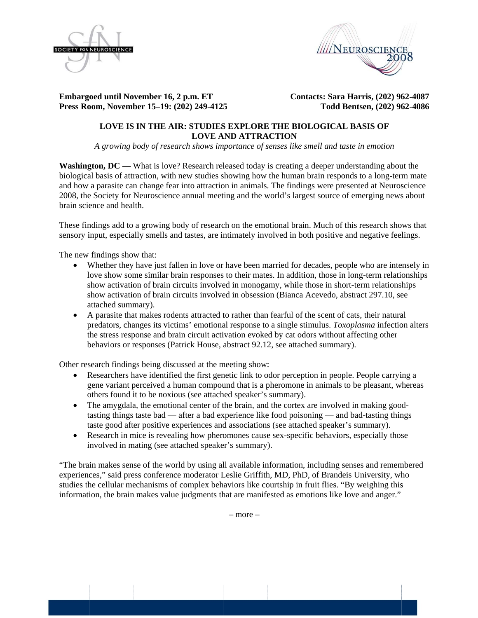



**Embarg oed until No vember 16, 2 2 p.m. ET Press Ro oom, Novemb ber 15–19: (2 202) 249-412 5**   **Conta acts: Sara Ha arris, (202) 96 62-4087 Todd Bentsen, (202) 962-4086** 

# LOVE IS IN THE AIR: STUDIES EXPLORE THE BIOLOGICAL BASIS OF **LOVE AND ATTRACTION**

*A growing b body of resea rch shows imp mportance of s senses like sm mell and taste in emotion*

Washington, DC — What is love? Research released today is creating a deeper understanding about the biological basis of attraction, with new studies showing how the human brain responds to a long-term mate and how a parasite can change fear into attraction in animals. The findings were presented at Neuroscience 2008, the Society for Neuroscience annual meeting and the world's largest source of emerging news about brain science and health.

These findings add to a growing body of research on the emotional brain. Much of this research shows that sensory input, especially smells and tastes, are intimately involved in both positive and negative feelings.

The new findings show that:

- Whether they have just fallen in love or have been married for decades, people who are intensely in love show some similar brain responses to their mates. In addition, those in long-term relationships show activation of brain circuits involved in monogamy, while those in short-term relationships show activation of brain circuits involved in obsession (Bianca Acevedo, abstract 297.10, see a attached summ mary).
- $\bullet$ predators, changes its victims' emotional response to a single stimulus. *Toxoplasma* infection alters the stress response and brain circuit activation evoked by cat odors without affecting other behaviors or responses (Patrick House, abstract 92.12, see attached summary). A parasite that makes rodents attracted to rather than fearful of the scent of cats, their natural

Other research findings being discussed at the meeting show:

- Research findings being discussed at the meeting show:<br>• Researchers have identified the first genetic link to odor perception in people. People carrying a gene variant perceived a human compound that is a pheromone in animals to be pleasant, whereas others found it to be noxious (see attached speaker's summary).
- $\bullet$ tasting things taste bad — after a bad experience like food poisoning — and bad-tasting things taste good after positive experiences and associations (see attached speaker's summary). The amygdala, the emotional center of the brain, and the cortex are involved in making good-
- Research in mice is revealing how pheromones cause sex-specific behaviors, especially those involved in mating (see attached speaker's summary).

"The brain makes sense of the world by using all available information, including senses and remembered experiences," said press conference moderator Leslie Griffith, MD, PhD, of Brandeis University, who studies the cellular mechanisms of complex behaviors like courtship in fruit flies. "By weighing this information, the brain makes value judgments that are manifested as emotions like love and anger."

– more –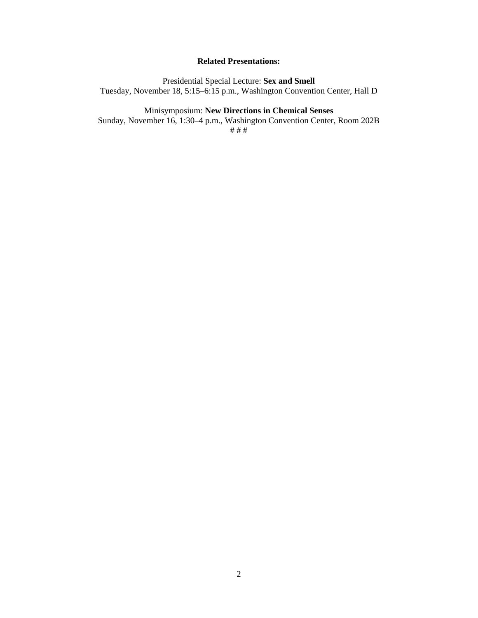### **Related Presentations:**

Presidential Special Lecture: **Sex and Smell**  Tuesday, November 18, 5:15–6:15 p.m., Washington Convention Center, Hall D

Minisymposium: **New Directions in Chemical Senses**  Sunday, November 16, 1:30–4 p.m., Washington Convention Center, Room 202B

# # #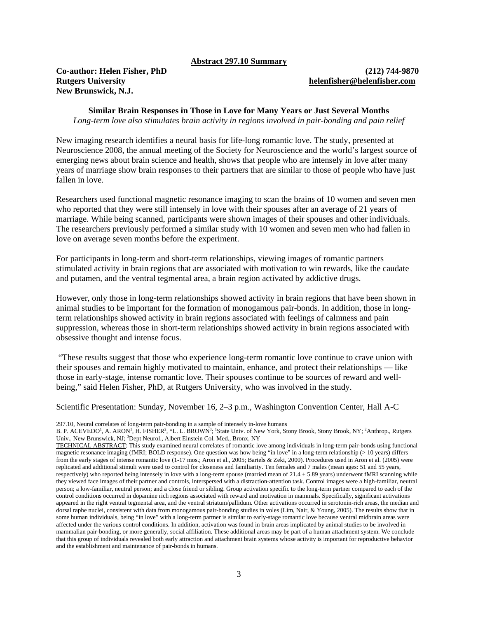**Abstract 297.10 Summary**

**Co-author: Helen Fisher, PhD (212) 744-9870 Rutgers University helenfisher@helenfisher.com New Brunswick, N.J.** 

**Similar Brain Responses in Those in Love for Many Years or Just Several Months**  *Long-term love also stimulates brain activity in regions involved in pair-bonding and pain relief*

New imaging research identifies a neural basis for life-long romantic love. The study, presented at Neuroscience 2008, the annual meeting of the Society for Neuroscience and the world's largest source of emerging news about brain science and health, shows that people who are intensely in love after many years of marriage show brain responses to their partners that are similar to those of people who have just fallen in love.

Researchers used functional magnetic resonance imaging to scan the brains of 10 women and seven men who reported that they were still intensely in love with their spouses after an average of 21 years of marriage. While being scanned, participants were shown images of their spouses and other individuals. The researchers previously performed a similar study with 10 women and seven men who had fallen in love on average seven months before the experiment.

For participants in long-term and short-term relationships, viewing images of romantic partners stimulated activity in brain regions that are associated with motivation to win rewards, like the caudate and putamen, and the ventral tegmental area, a brain region activated by addictive drugs.

However, only those in long-term relationships showed activity in brain regions that have been shown in animal studies to be important for the formation of monogamous pair-bonds. In addition, those in longterm relationships showed activity in brain regions associated with feelings of calmness and pain suppression, whereas those in short-term relationships showed activity in brain regions associated with obsessive thought and intense focus.

 "These results suggest that those who experience long-term romantic love continue to crave union with their spouses and remain highly motivated to maintain, enhance, and protect their relationships — like those in early-stage, intense romantic love. Their spouses continue to be sources of reward and wellbeing," said Helen Fisher, PhD, at Rutgers University, who was involved in the study.

Scientific Presentation: Sunday, November 16, 2–3 p.m., Washington Convention Center, Hall A-C

<sup>297.10,</sup> Neural correlates of long-term pair-bonding in a sample of intensely in-love humans

B. P. ACEVEDO<sup>1</sup>, A. ARON<sup>1</sup>, H. FISHER<sup>2</sup>, \*L. L. BROWN<sup>3</sup>; <sup>1</sup>State Univ. of New York, Stony Brook, Stony Brook, NY; <sup>2</sup>Anthrop., Rutgers Univ., New Brunswick, NJ; <sup>3</sup>Dept Neurol., Albert Einstein Col. Med., Bronx, NY

TECHNICAL ABSTRACT: This study examined neural correlates of romantic love among individuals in long-term pair-bonds using functional magnetic resonance imaging (fMRI; BOLD response). One question was how being "in love" in a long-term relationship (> 10 years) differs from the early stages of intense romantic love (1-17 mos.; Aron et al., 2005; Bartels & Zeki, 2000). Procedures used in Aron et al. (2005) were replicated and additional stimuli were used to control for closeness and familiarity. Ten females and 7 males (mean ages: 51 and 55 years, respectively) who reported being intensely in love with a long-term spouse (married mean of  $21.4 \pm 5.89$  years) underwent fMRI scanning while they viewed face images of their partner and controls, interspersed with a distraction-attention task. Control images were a high-familiar, neutral person; a low-familiar, neutral person; and a close friend or sibling. Group activation specific to the long-term partner compared to each of the control conditions occurred in dopamine rich regions associated with reward and motivation in mammals. Specifically, significant activations appeared in the right ventral tegmental area, and the ventral striatum/pallidum. Other activations occurred in serotonin-rich areas, the median and dorsal raphe nuclei, consistent with data from monogamous pair-bonding studies in voles (Lim, Nair, & Young, 2005). The results show that in some human individuals, being "in love" with a long-term partner is similar to early-stage romantic love because ventral midbrain areas were affected under the various control conditions. In addition, activation was found in brain areas implicated by animal studies to be involved in mammalian pair-bonding, or more generally, social affiliation. These additional areas may be part of a human attachment system. We conclude that this group of individuals revealed both early attraction and attachment brain systems whose activity is important for reproductive behavior and the establishment and maintenance of pair-bonds in humans.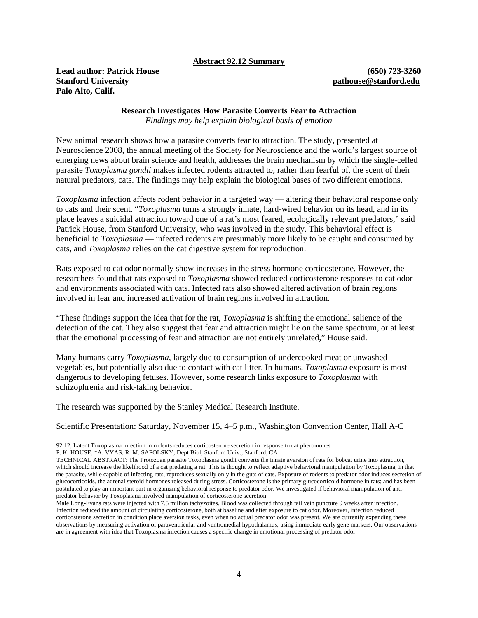**Abstract 92.12 Summary**

**Lead author: Patrick House (650) 723-3260 Stanford University pathouse@stanford.edu Palo Alto, Calif.** 

# **Research Investigates How Parasite Converts Fear to Attraction**

*Findings may help explain biological basis of emotion*

New animal research shows how a parasite converts fear to attraction. The study, presented at Neuroscience 2008, the annual meeting of the Society for Neuroscience and the world's largest source of emerging news about brain science and health, addresses the brain mechanism by which the single-celled parasite *Toxoplasma gondii* makes infected rodents attracted to, rather than fearful of, the scent of their natural predators, cats. The findings may help explain the biological bases of two different emotions.

*Toxoplasma* infection affects rodent behavior in a targeted way — altering their behavioral response only to cats and their scent. "*Toxoplasma* turns a strongly innate, hard-wired behavior on its head, and in its place leaves a suicidal attraction toward one of a rat's most feared, ecologically relevant predators," said Patrick House, from Stanford University, who was involved in the study. This behavioral effect is beneficial to *Toxoplasma* — infected rodents are presumably more likely to be caught and consumed by cats, and *Toxoplasma* relies on the cat digestive system for reproduction.

Rats exposed to cat odor normally show increases in the stress hormone corticosterone. However, the researchers found that rats exposed to *Toxoplasma* showed reduced corticosterone responses to cat odor and environments associated with cats. Infected rats also showed altered activation of brain regions involved in fear and increased activation of brain regions involved in attraction.

"These findings support the idea that for the rat, *Toxoplasma* is shifting the emotional salience of the detection of the cat. They also suggest that fear and attraction might lie on the same spectrum, or at least that the emotional processing of fear and attraction are not entirely unrelated," House said.

Many humans carry *Toxoplasma*, largely due to consumption of undercooked meat or unwashed vegetables, but potentially also due to contact with cat litter. In humans, *Toxoplasma* exposure is most dangerous to developing fetuses. However, some research links exposure to *Toxoplasma* with schizophrenia and risk-taking behavior.

The research was supported by the Stanley Medical Research Institute.

Scientific Presentation: Saturday, November 15, 4–5 p.m., Washington Convention Center, Hall A-C

92.12, Latent Toxoplasma infection in rodents reduces corticosterone secretion in response to cat pheromones

P. K. HOUSE, \*A. VYAS, R. M. SAPOLSKY; Dept Biol, Stanford Univ., Stanford, CA

TECHNICAL ABSTRACT: The Protozoan parasite Toxoplasma gondii converts the innate aversion of rats for bobcat urine into attraction, which should increase the likelihood of a cat predating a rat. This is thought to reflect adaptive behavioral manipulation by Toxoplasma, in that the parasite, while capable of infecting rats, reproduces sexually only in the guts of cats. Exposure of rodents to predator odor induces secretion of glucocorticoids, the adrenal steroid hormones released during stress. Corticosterone is the primary glucocorticoid hormone in rats; and has been postulated to play an important part in organizing behavioral response to predator odor. We investigated if behavioral manipulation of antipredator behavior by Toxoplasma involved manipulation of corticosterone secretion.

Male Long-Evans rats were injected with 7.5 million tachyzoites. Blood was collected through tail vein puncture 9 weeks after infection. Infection reduced the amount of circulating corticosterone, both at baseline and after exposure to cat odor. Moreover, infection reduced corticosterone secretion in condition place aversion tasks, even when no actual predator odor was present. We are currently expanding these observations by measuring activation of paraventricular and ventromedial hypothalamus, using immediate early gene markers. Our observations are in agreement with idea that Toxoplasma infection causes a specific change in emotional processing of predator odor.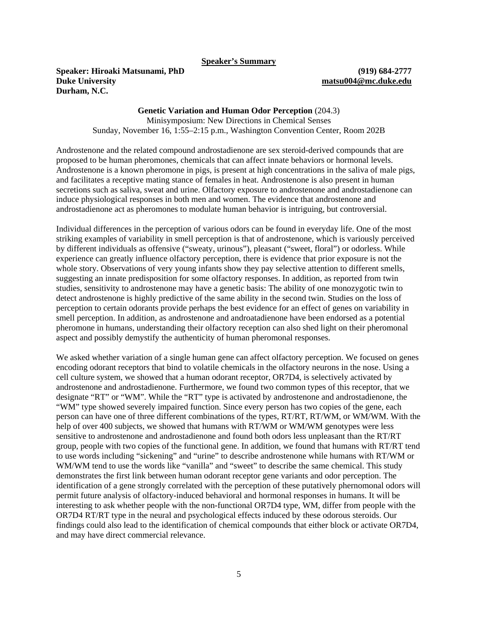**Speaker's Summary**

**Speaker: Hiroaki Matsunami, PhD (919) 684-2777 Duke University [matsu004@mc.duke.edu](mailto:matsu004@mc.duke.edu) Durham, N.C.** 

**Genetic Variation and Human Odor Perception** (204.3) Minisymposium: New Directions in Chemical Senses Sunday, November 16, 1:55–2:15 p.m., Washington Convention Center, Room 202B

Androstenone and the related compound androstadienone are sex steroid-derived compounds that are proposed to be human pheromones, chemicals that can affect innate behaviors or hormonal levels. Androstenone is a known pheromone in pigs, is present at high concentrations in the saliva of male pigs, and facilitates a receptive mating stance of females in heat. Androstenone is also present in human secretions such as saliva, sweat and urine. Olfactory exposure to androstenone and androstadienone can induce physiological responses in both men and women. The evidence that androstenone and androstadienone act as pheromones to modulate human behavior is intriguing, but controversial.

Individual differences in the perception of various odors can be found in everyday life. One of the most striking examples of variability in smell perception is that of androstenone, which is variously perceived by different individuals as offensive ("sweaty, urinous"), pleasant ("sweet, floral") or odorless. While experience can greatly influence olfactory perception, there is evidence that prior exposure is not the whole story. Observations of very young infants show they pay selective attention to different smells, suggesting an innate predisposition for some olfactory responses. In addition, as reported from twin studies, sensitivity to androstenone may have a genetic basis: The ability of one monozygotic twin to detect androstenone is highly predictive of the same ability in the second twin. Studies on the loss of perception to certain odorants provide perhaps the best evidence for an effect of genes on variability in smell perception. In addition, as androstenone and androatadienone have been endorsed as a potential pheromone in humans, understanding their olfactory reception can also shed light on their pheromonal aspect and possibly demystify the authenticity of human pheromonal responses.

We asked whether variation of a single human gene can affect olfactory perception. We focused on genes encoding odorant receptors that bind to volatile chemicals in the olfactory neurons in the nose. Using a cell culture system, we showed that a human odorant receptor, OR7D4, is selectively activated by androstenone and androstadienone. Furthermore, we found two common types of this receptor, that we designate "RT" or "WM". While the "RT" type is activated by androstenone and androstadienone, the "WM" type showed severely impaired function. Since every person has two copies of the gene, each person can have one of three different combinations of the types, RT/RT, RT/WM, or WM/WM. With the help of over 400 subjects, we showed that humans with RT/WM or WM/WM genotypes were less sensitive to androstenone and androstadienone and found both odors less unpleasant than the RT/RT group, people with two copies of the functional gene. In addition, we found that humans with RT/RT tend to use words including "sickening" and "urine" to describe androstenone while humans with RT/WM or WM/WM tend to use the words like "vanilla" and "sweet" to describe the same chemical. This study demonstrates the first link between human odorant receptor gene variants and odor perception. The identification of a gene strongly correlated with the perception of these putatively phernomonal odors will permit future analysis of olfactory-induced behavioral and hormonal responses in humans. It will be interesting to ask whether people with the non-functional OR7D4 type, WM, differ from people with the OR7D4 RT/RT type in the neural and psychological effects induced by these odorous steroids. Our findings could also lead to the identification of chemical compounds that either block or activate OR7D4, and may have direct commercial relevance.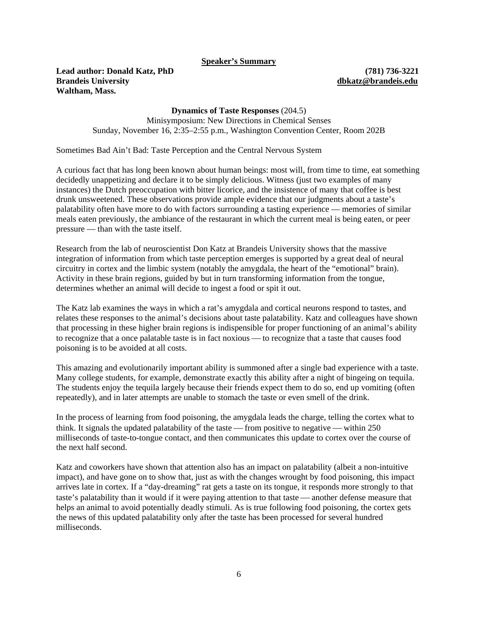**Speaker's Summary**

**Lead author: Donald Katz, PhD (781) 736-3221 Brandeis University [dbkatz@brandeis.edu](mailto:dbkatz@brandeis.edu) Waltham, Mass.** 

### **Dynamics of Taste Responses** (204.5)

Minisymposium: New Directions in Chemical Senses Sunday, November 16, 2:35–2:55 p.m., Washington Convention Center, Room 202B

Sometimes Bad Ain't Bad: Taste Perception and the Central Nervous System

A curious fact that has long been known about human beings: most will, from time to time, eat something decidedly unappetizing and declare it to be simply delicious. Witness (just two examples of many instances) the Dutch preoccupation with bitter licorice, and the insistence of many that coffee is best drunk unsweetened. These observations provide ample evidence that our judgments about a taste's palatability often have more to do with factors surrounding a tasting experience — memories of similar meals eaten previously, the ambiance of the restaurant in which the current meal is being eaten, or peer pressure — than with the taste itself.

Research from the lab of neuroscientist Don Katz at Brandeis University shows that the massive integration of information from which taste perception emerges is supported by a great deal of neural circuitry in cortex and the limbic system (notably the amygdala, the heart of the "emotional" brain). Activity in these brain regions, guided by but in turn transforming information from the tongue, determines whether an animal will decide to ingest a food or spit it out.

The Katz lab examines the ways in which a rat's amygdala and cortical neurons respond to tastes, and relates these responses to the animal's decisions about taste palatability. Katz and colleagues have shown that processing in these higher brain regions is indispensible for proper functioning of an animal's ability to recognize that a once palatable taste is in fact noxious — to recognize that a taste that causes food poisoning is to be avoided at all costs.

This amazing and evolutionarily important ability is summoned after a single bad experience with a taste. Many college students, for example, demonstrate exactly this ability after a night of bingeing on tequila. The students enjoy the tequila largely because their friends expect them to do so, end up vomiting (often repeatedly), and in later attempts are unable to stomach the taste or even smell of the drink.

In the process of learning from food poisoning, the amygdala leads the charge, telling the cortex what to think. It signals the updated palatability of the taste  $-$  from positive to negative  $-$  within 250 milliseconds of taste-to-tongue contact, and then communicates this update to cortex over the course of the next half second.

Katz and coworkers have shown that attention also has an impact on palatability (albeit a non-intuitive impact), and have gone on to show that, just as with the changes wrought by food poisoning, this impact arrives late in cortex. If a "day-dreaming" rat gets a taste on its tongue, it responds more strongly to that taste's palatability than it would if it were paying attention to that taste — another defense measure that helps an animal to avoid potentially deadly stimuli. As is true following food poisoning, the cortex gets the news of this updated palatability only after the taste has been processed for several hundred milliseconds.